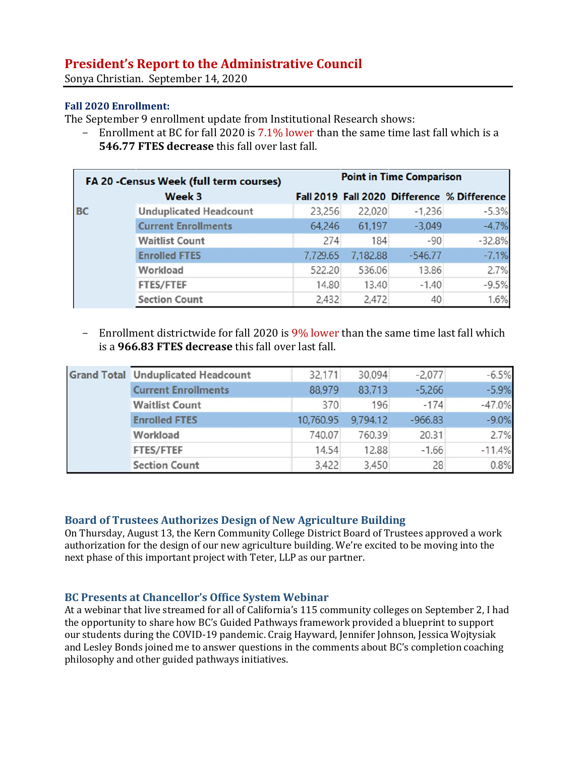# **President's Report to the Administrative Council**

Sonya Christian. September 14, 2020

## **Fall 2020 Enrollment:**

The September 9 enrollment update from Institutional Research shows:

- Enrollment at BC for fall 2020 is  $7.1\%$  lower than the same time last fall which is a **546.77 FTES decrease** this fall over last fall.

| FA 20 -Census Week (full term courses)<br>Week 3 |                               | <b>Point in Time Comparison</b> |          |           |                                             |
|--------------------------------------------------|-------------------------------|---------------------------------|----------|-----------|---------------------------------------------|
|                                                  |                               |                                 |          |           | Fall 2019 Fall 2020 Difference % Difference |
| <b>BC</b>                                        | <b>Unduplicated Headcount</b> | 23,256                          | 22,020   | $-1,236$  | $-5.3%$                                     |
|                                                  | <b>Current Enrollments</b>    | 64,246                          | 61,197   | $-3,049$  | $-4.7%$                                     |
|                                                  | <b>Waitlist Count</b>         | 274                             | 184      | $-90$     | $-32.8%$                                    |
|                                                  | <b>Enrolled FTES</b>          | 7,729.65                        | 7,182.88 | $-546.77$ | $-7.1%$                                     |
|                                                  | Workload                      | 522.20                          | 536.06   | 13.86     | 2.7%                                        |
|                                                  | <b>FTES/FTEF</b>              | 14.80                           | 13.40    | $-1.40$   | $-9.5%$                                     |
|                                                  | <b>Section Count</b>          | 2,432                           | 2,472    | 40        | 1.6%                                        |

- Enrollment districtwide for fall 2020 is 9% lower than the same time last fall which is a **966.83 FTES decrease** this fall over last fall.

|  | <b>Grand Total Unduplicated Headcount</b> | 32,171    | 30,094   | $-2,077$  | $-6.5%$  |
|--|-------------------------------------------|-----------|----------|-----------|----------|
|  | <b>Current Enrollments</b>                | 88,979    | 83,713   | $-5,266$  | $-5.9%$  |
|  | <b>Waitlist Count</b>                     | 370       | 196      | $-174$    | $-47.0%$ |
|  | <b>Enrolled FTES</b>                      | 10,760.95 | 9,794.12 | $-966.83$ | $-9.0%$  |
|  | Workload                                  | 740.07    | 760.39   | 20.31     | 2.7%     |
|  | <b>FTES/FTEF</b>                          | 14.54     | 12.88    | $-1.66$   | $-11.4%$ |
|  | <b>Section Count</b>                      | 3,422     | 3,450    | 28        | 0.8%     |

### **Board of Trustees Authorizes Design of New Agriculture Building**

On Thursday, August 13, the Kern Community College District Board of Trustees approved a work authorization for the design of our new agriculture building. We're excited to be moving into the next phase of this important project with Teter, LLP as our partner.

## **BC Presents at Chancellor's Office System Webinar**

At a webinar that live streamed for all of California's 115 community colleges on September 2, I had the opportunity to share how BC's Guided Pathways framework provided a blueprint to support our students during the COVID-19 pandemic. Craig Hayward, Jennifer Johnson, Jessica Wojtysiak and Lesley Bonds joined me to answer questions in the comments about BC's completion coaching philosophy and other guided pathways initiatives.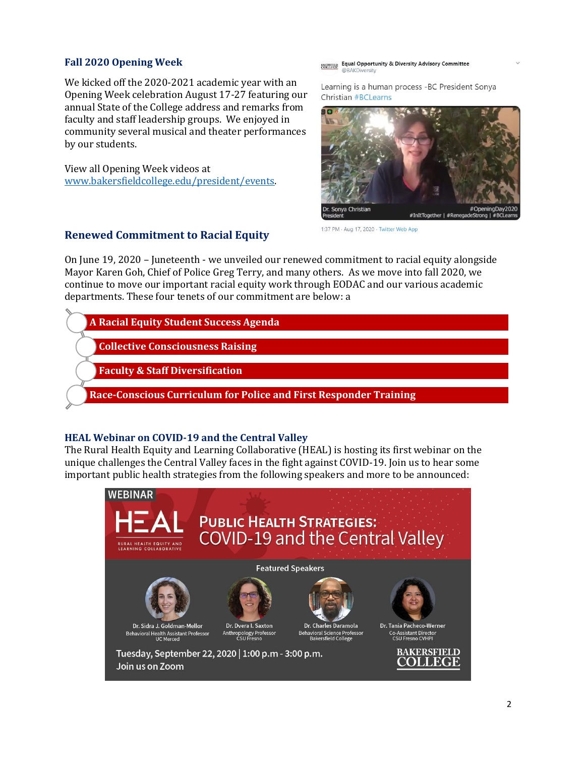#### **Fall 2020 Opening Week**

We kicked off the 2020-2021 academic year with an Opening Week celebration August 17-27 featuring our annual State of the College address and remarks from faculty and staff leadership groups. We enjoyed in community several musical and theater performances by our students.

View all Opening Week videos at [www.bakersfieldcollege.edu/president/events.](https://www.bakersfieldcollege.edu/president/events)

## **Renewed Commitment to Racial Equity**

**ANTISTICAL EQUAL Opportunity & Diversity Advisory Committee** 

Learning is a human process -BC President Sonya **Christian #BCLearns** 



1:37 PM - Aug 17, 2020 - Twitter Web App

On June 19, 2020 – Juneteenth - we unveiled our renewed commitment to racial equity alongside Mayor Karen Goh, Chief of Police Greg Terry, and many others. As we move into fall 2020, we continue to move our important racial equity work through EODAC and our various academic departments. These four tenets of our commitment are below: a

|  | <b>A Racial Equity Student Success Agenda</b> |  |
|--|-----------------------------------------------|--|
|  |                                               |  |

**Collective Consciousness Raising**

**Faculty & Staff Diversification**

**Race-Conscious Curriculum for Police and First Responder Training**

## **HEAL Webinar on COVID-19 and the Central Valley**

The Rural Health Equity and Learning Collaborative (HEAL) is hosting its first webinar on the unique challenges the Central Valley faces in the fight against COVID-19. Join us to hear some important public health strategies from the following speakers and more to be announced:

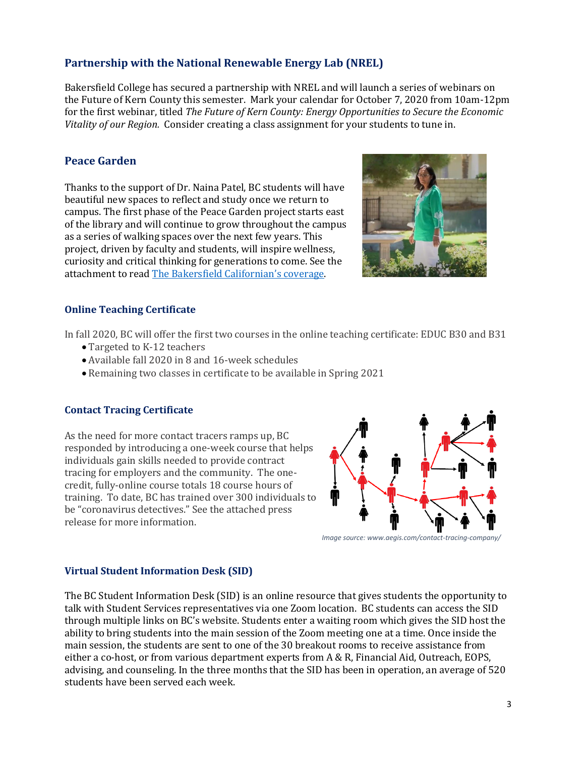## **Partnership with the National Renewable Energy Lab (NREL)**

Bakersfield College has secured a partnership with NREL and will launch a series of webinars on the Future of Kern County this semester. Mark your calendar for October 7, 2020 from 10am-12pm for the first webinar, titled *The Future of Kern County: Energy Opportunities to Secure the Economic Vitality of our Region.* Consider creating a class assignment for your students to tune in.

## **Peace Garden**

Thanks to the support of Dr. Naina Patel, BC students will have beautiful new spaces to reflect and study once we return to campus. The first phase of the Peace Garden project starts east of the library and will continue to grow throughout the campus as a series of walking spaces over the next few years. This project, driven by faculty and students, will inspire wellness, curiosity and critical thinking for generations to come. See the attachment to read [The Bakersfield Californian](https://www.bakersfield.com/news/peace-garden-to-become-major-feature-of-bc-campus/article_84baa4fe-eef6-11ea-a98f-e314a337e6a6.html)'s coverage.



## **Online Teaching Certificate**

In fall 2020, BC will offer the first two courses in the online teaching certificate: EDUC B30 and B31

- Targeted to K-12 teachers
- Available fall 2020 in 8 and 16-week schedules
- Remaining two classes in certificate to be available in Spring 2021

### **Contact Tracing Certificate**

As the need for more contact tracers ramps up, BC responded by introducing a one-week course that helps individuals gain skills needed to provide contract tracing for employers and the community. The onecredit, fully-online course totals 18 course hours of training. To date, BC has trained over 300 individuals to be "coronavirus detectives." See the attached press release for more information.



*Image source: www.aegis.com/contact-tracing-company/*

### **Virtual Student Information Desk (SID)**

The BC Student Information Desk (SID) is an online resource that gives students the opportunity to talk with Student Services representatives via one Zoom location. BC students can access the SID through multiple links on BC's website. Students enter a waiting room which gives the SID host the ability to bring students into the main session of the Zoom meeting one at a time. Once inside the main session, the students are sent to one of the 30 breakout rooms to receive assistance from either a co-host, or from various department experts from A & R, Financial Aid, Outreach, EOPS, advising, and counseling. In the three months that the SID has been in operation, an average of 520 students have been served each week.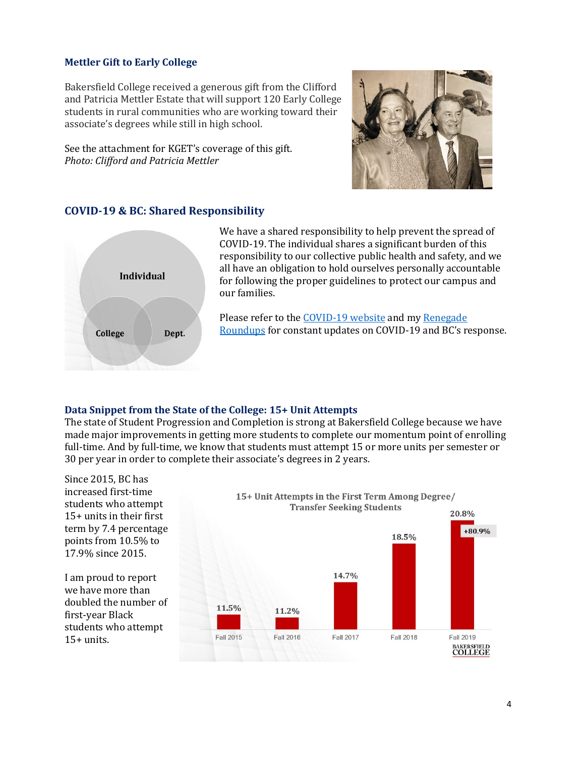#### **Mettler Gift to Early College**

Bakersfield College received a generous gift from the Clifford and Patricia Mettler Estate that will support 120 Early College students in rural communities who are working toward their associate's degrees while still in high school.

See the attachment for KGET's coverage of this gift. *Photo: Clifford and Patricia Mettler*



### **COVID-19 & BC: Shared Responsibility**



We have a shared responsibility to help prevent the spread of COVID-19. The individual shares a significant burden of this responsibility to our collective public health and safety, and we all have an obligation to hold ourselves personally accountable for following the proper guidelines to protect our campus and our families.

Please refer to th[e COVID-19 website](https://www.bakersfieldcollege.edu/covid19) and my [Renegade](https://www.bakersfieldcollege.edu/covid19/resources)  [Roundups](https://www.bakersfieldcollege.edu/covid19/resources) for constant updates on COVID-19 and BC's response.

#### **Data Snippet from the State of the College: 15+ Unit Attempts**

The state of Student Progression and Completion is strong at Bakersfield College because we have made major improvements in getting more students to complete our momentum point of enrolling full-time. And by full-time, we know that students must attempt 15 or more units per semester or 30 per year in order to complete their associate's degrees in 2 years.

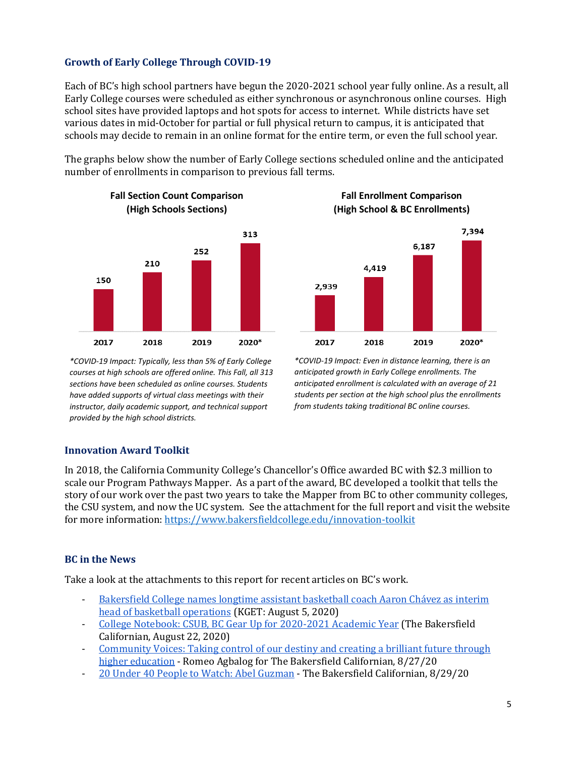### **Growth of Early College Through COVID-19**

Each of BC's high school partners have begun the 2020-2021 school year fully online. As a result, all Early College courses were scheduled as either synchronous or asynchronous online courses. High school sites have provided laptops and hot spots for access to internet. While districts have set various dates in mid-October for partial or full physical return to campus, it is anticipated that schools may decide to remain in an online format for the entire term, or even the full school year.

The graphs below show the number of Early College sections scheduled online and the anticipated number of enrollments in comparison to previous fall terms.



**Fall Section Count Comparison**

**Fall Enrollment Comparison (High School & BC Enrollments)**



*\*COVID-19 Impact: Typically, less than 5% of Early College courses at high schools are offered online. This Fall, all 313 sections have been scheduled as online courses. Students have added supports of virtual class meetings with their instructor, daily academic support, and technical support provided by the high school districts.*

*\*COVID-19 Impact: Even in distance learning, there is an anticipated growth in Early College enrollments. The anticipated enrollment is calculated with an average of 21 students per section at the high school plus the enrollments from students taking traditional BC online courses.*

#### **Innovation Award Toolkit**

In 2018, the California Community College's Chancellor's Office awarded BC with \$2.3 million to scale our Program Pathways Mapper. As a part of the award, BC developed a toolkit that tells the story of our work over the past two years to take the Mapper from BC to other community colleges, the CSU system, and now the UC system. See the attachment for the full report and visit the website for more information[: https://www.bakersfieldcollege.edu/innovation-toolkit](https://www.bakersfieldcollege.edu/innovation-toolkit)

### **BC in the News**

Take a look at the attachments to this report for recent articles on BC's work.

- Bakersfield College names longtime assistant basketball coach Aaron Chávez as interim [head of basketball operations](https://www.kget.com/news/local-news/bakersfield-college-names-longtime-assistant-basketball-coach-aaron-chavez-as-interim-head-of-basketball-operations/) (KGET: August 5, 2020)
- [College Notebook: CSUB, BC Gear Up for 2020-2021 Academic Year](https://www.bakersfield.com/news/college-notebook-csub-bc-gear-up-for-2020-21-academic-year/article_16db431c-e424-11ea-beee-d3d303694f98.html) (The Bakersfield Californian, August 22, 2020)
- [Community Voices: Taking control of our destiny and creating a brilliant future through](https://www.bakersfield.com/opinion/community-voices-taking-control-of-our-destiny-and-creating-a-brilliant-future-through-higher-education/article_1ac79fb6-e712-11ea-9234-1babeb8adf09.html)  [higher education](https://www.bakersfield.com/opinion/community-voices-taking-control-of-our-destiny-and-creating-a-brilliant-future-through-higher-education/article_1ac79fb6-e712-11ea-9234-1babeb8adf09.html) - Romeo Agbalog for The Bakersfield Californian, 8/27/20
- [20 Under 40 People to Watch: Abel Guzman](https://www.bakersfield.com/bakersfield-life/20-under-40-people-to-watch-abel-guzman/article_ca10b660-db37-11ea-85b3-2fe32045cc28.html) The Bakersfield Californian, 8/29/20